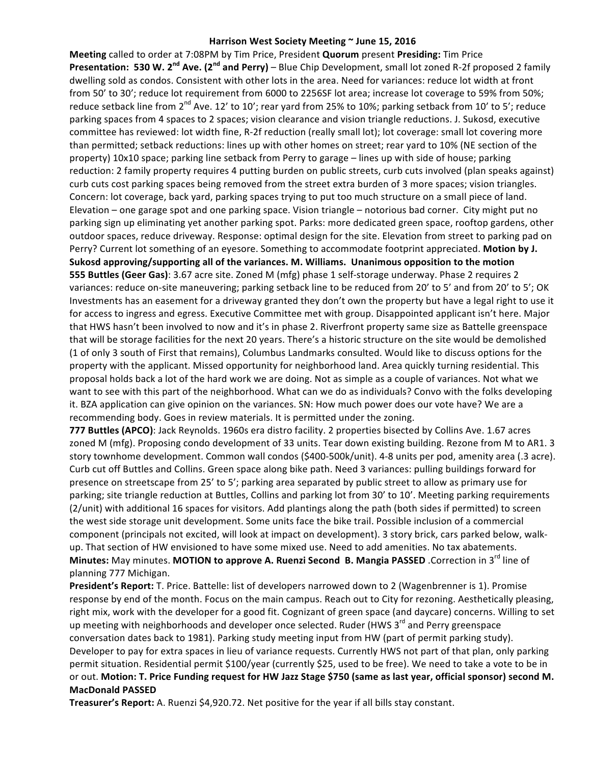## Harrison West Society Meeting ~ June 15, 2016

**Meeting** called to order at 7:08PM by Tim Price, President **Quorum** present **Presiding:** Tim Price **Presentation: 530 W. 2<sup>nd</sup> Ave. (2<sup>nd</sup> and Perry)** – Blue Chip Development, small lot zoned R-2f proposed 2 family dwelling sold as condos. Consistent with other lots in the area. Need for variances: reduce lot width at front from 50' to 30'; reduce lot requirement from 6000 to 2256SF lot area; increase lot coverage to 59% from 50%; reduce setback line from  $2^{nd}$  Ave. 12' to 10'; rear yard from 25% to 10%; parking setback from 10' to 5'; reduce parking spaces from 4 spaces to 2 spaces; vision clearance and vision triangle reductions. J. Sukosd, executive committee has reviewed: lot width fine, R-2f reduction (really small lot); lot coverage: small lot covering more than permitted; setback reductions: lines up with other homes on street; rear yard to 10% (NE section of the property) 10x10 space; parking line setback from Perry to garage - lines up with side of house; parking reduction: 2 family property requires 4 putting burden on public streets, curb cuts involved (plan speaks against) curb cuts cost parking spaces being removed from the street extra burden of 3 more spaces; vision triangles. Concern: lot coverage, back yard, parking spaces trying to put too much structure on a small piece of land. Elevation – one garage spot and one parking space. Vision triangle – notorious bad corner. City might put no parking sign up eliminating yet another parking spot. Parks: more dedicated green space, rooftop gardens, other outdoor spaces, reduce driveway. Response: optimal design for the site. Elevation from street to parking pad on Perry? Current lot something of an eyesore. Something to accommodate footprint appreciated. Motion by J. **Sukosd approving/supporting all of the variances. M. Williams. Unanimous opposition to the motion 555 Buttles (Geer Gas)**: 3.67 acre site. Zoned M (mfg) phase 1 self-storage underway. Phase 2 requires 2 variances: reduce on-site maneuvering; parking setback line to be reduced from 20' to 5' and from 20' to 5'; OK Investments has an easement for a driveway granted they don't own the property but have a legal right to use it for access to ingress and egress. Executive Committee met with group. Disappointed applicant isn't here. Major that HWS hasn't been involved to now and it's in phase 2. Riverfront property same size as Battelle greenspace that will be storage facilities for the next 20 years. There's a historic structure on the site would be demolished (1 of only 3 south of First that remains), Columbus Landmarks consulted. Would like to discuss options for the property with the applicant. Missed opportunity for neighborhood land. Area quickly turning residential. This proposal holds back a lot of the hard work we are doing. Not as simple as a couple of variances. Not what we want to see with this part of the neighborhood. What can we do as individuals? Convo with the folks developing it. BZA application can give opinion on the variances. SN: How much power does our vote have? We are a recommending body. Goes in review materials. It is permitted under the zoning.

**777 Buttles (APCO)**: Jack Reynolds. 1960s era distro facility. 2 properties bisected by Collins Ave. 1.67 acres zoned M (mfg). Proposing condo development of 33 units. Tear down existing building. Rezone from M to AR1. 3 story townhome development. Common wall condos (\$400-500k/unit). 4-8 units per pod, amenity area (.3 acre). Curb cut off Buttles and Collins. Green space along bike path. Need 3 variances: pulling buildings forward for presence on streetscape from 25' to 5'; parking area separated by public street to allow as primary use for parking; site triangle reduction at Buttles, Collins and parking lot from 30' to 10'. Meeting parking requirements (2/unit) with additional 16 spaces for visitors. Add plantings along the path (both sides if permitted) to screen the west side storage unit development. Some units face the bike trail. Possible inclusion of a commercial component (principals not excited, will look at impact on development). 3 story brick, cars parked below, walkup. That section of HW envisioned to have some mixed use. Need to add amenities. No tax abatements. **Minutes:** May minutes. MOTION to approve A. Ruenzi Second B. Mangia PASSED .Correction in 3<sup>rd</sup> line of planning 777 Michigan.

**President's Report:** T. Price. Battelle: list of developers narrowed down to 2 (Wagenbrenner is 1). Promise response by end of the month. Focus on the main campus. Reach out to City for rezoning. Aesthetically pleasing, right mix, work with the developer for a good fit. Cognizant of green space (and daycare) concerns. Willing to set up meeting with neighborhoods and developer once selected. Ruder (HWS  $3<sup>rd</sup>$  and Perry greenspace conversation dates back to 1981). Parking study meeting input from HW (part of permit parking study). Developer to pay for extra spaces in lieu of variance requests. Currently HWS not part of that plan, only parking permit situation. Residential permit \$100/year (currently \$25, used to be free). We need to take a vote to be in or out. Motion: T. Price Funding request for HW Jazz Stage \$750 (same as last year, official sponsor) second M. **MacDonald PASSED**

**Treasurer's Report:** A. Ruenzi \$4,920.72. Net positive for the year if all bills stay constant.